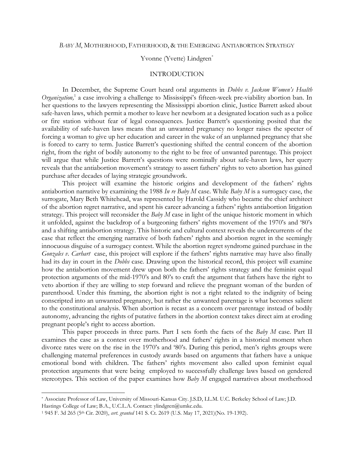#### *BABY M*, MOTHERHOOD, FATHERHOOD, & THE EMERGING ANTIABORTION STRATEGY

### Yvonne (Yvette) Lindgren<sup>\*</sup>

### INTRODUCTION

In December, the Supreme Court heard oral arguments in *Dobbs v. Jackson Women's Health*  Organization,<sup>1</sup> a case involving a challenge to Mississippi's fifteen-week pre-viability abortion ban. In her questions to the lawyers representing the Mississippi abortion clinic, Justice Barrett asked about safe-haven laws, which permit a mother to leave her newborn at a designated location such as a police or fire station without fear of legal consequences. Justice Barrett's questioning posited that the availability of safe-haven laws means that an unwanted pregnancy no longer raises the specter of forcing a woman to give up her education and career in the wake of an unplanned pregnancy that she is forced to carry to term. Justice Barrett's questioning shifted the central concern of the abortion right, from the right of bodily autonomy to the right to be free of unwanted parentage. This project will argue that while Justice Barrett's questions were nominally about safe-haven laws, her query reveals that the antiabortion movement's strategy to assert fathers' rights to veto abortion has gained purchase after decades of laying strategic groundwork.

This project will examine the historic origins and development of the fathers' rights antiabortion narrative by examining the 1988 *In re Baby M* case. While *Baby M* is a surrogacy case, the surrogate, Mary Beth Whitehead, was represented by Harold Cassidy who became the chief architect of the abortion regret narrative, and spent his career advancing a fathers' rights antiabortion litigation strategy. This project will reconsider the *Baby M* case in light of the unique historic moment in which it unfolded, against the backdrop of a burgeoning fathers' rights movement of the 1970's and '80's and a shifting antiabortion strategy. This historic and cultural context reveals the undercurrents of the case that reflect the emerging narrative of both fathers' rights and abortion regret in the seemingly innocuous disguise of a surrogacy contest. While the abortion regret syndrome gained purchase in the *Gonzales v. Carhart* case, this project will explore if the fathers' rights narrative may have also finally had its day in court in the *Dobbs* case. Drawing upon the historical record, this project will examine how the antiabortion movement drew upon both the fathers' rights strategy and the feminist equal protection arguments of the mid-1970's and 80's to craft the argument that fathers have the right to veto abortion if they are willing to step forward and relieve the pregnant woman of the burden of parenthood. Under this framing, the abortion right is not a right related to the indignity of being conscripted into an unwanted pregnancy, but rather the unwanted parentage is what becomes salient to the constitutional analysis. When abortion is recast as a concern over parentage instead of bodily autonomy, advancing the rights of putative fathers in the abortion context takes direct aim at eroding pregnant people's right to access abortion.

This paper proceeds in three parts. Part I sets forth the facts of the *Baby M* case. Part II examines the case as a contest over motherhood and fathers' rights in a historical moment when divorce rates were on the rise in the 1970's and '80's. During this period, men's rights groups were challenging maternal preferences in custody awards based on arguments that fathers have a unique emotional bond with children. The fathers' rights movement also called upon feminist equal protection arguments that were being employed to successfully challenge laws based on gendered stereotypes. This section of the paper examines how *Baby M* engaged narratives about motherhood

<sup>\*</sup> Associate Professor of Law, University of Missouri-Kansas City. J.S.D, LL.M. U.C. Berkeley School of Law; J.D. Hastings College of Law; B.A., U.C.L.A. Contact: ylindgren@umkc.edu.

<sup>1</sup> 945 F. 3d 265 (5th Cir. 2020), *cert. granted* 141 S. Ct. 2619 (U.S. May 17, 2021)(No. 19-1392).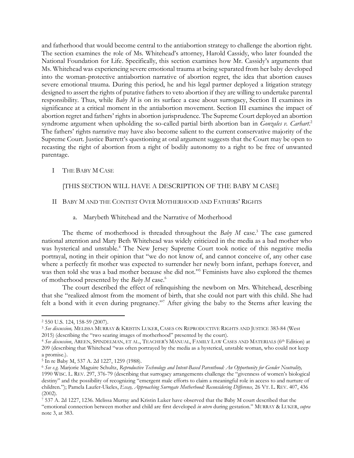and fatherhood that would become central to the antiabortion strategy to challenge the abortion right. The section examines the role of Ms. Whitehead's attorney, Harold Cassidy, who later founded the National Foundation for Life. Specifically, this section examines how Mr. Cassidy's arguments that Ms. Whitehead was experiencing severe emotional trauma at being separated from her baby developed into the woman-protective antiabortion narrative of abortion regret, the idea that abortion causes severe emotional trauma. During this period, he and his legal partner deployed a litigation strategy designed to assert the rights of putative fathers to veto abortion if they are willing to undertake parental responsibility. Thus, while *Baby M* is on its surface a case about surrogacy, Section II examines its significance at a critical moment in the antiabortion movement. Section III examines the impact of abortion regret and fathers' rights in abortion jurisprudence. The Supreme Court deployed an abortion syndrome argument when upholding the so-called partial birth abortion ban in *Gonzales v. Carhart*.<sup>2</sup> The fathers' rights narrative may have also become salient to the current conservative majority of the Supreme Court. Justice Barrett's questioning at oral argument suggests that the Court may be open to recasting the right of abortion from a right of bodily autonomy to a right to be free of unwanted parentage.

## I THE BABY M CASE

# [THIS SECTION WILL HAVE A DESCRIPTION OF THE BABY M CASE]

### II BABY M AND THE CONTEST OVER MOTHERHOOD AND FATHERS' RIGHTS

a. Marybeth Whitehead and the Narrative of Motherhood

The theme of motherhood is threaded throughout the *Baby M* case.<sup>3</sup> The case garnered national attention and Mary Beth Whitehead was widely criticized in the media as a bad mother who was hysterical and unstable.<sup>4</sup> The New Jersey Supreme Court took notice of this negative media portrayal, noting in their opinion that "we do not know of, and cannot conceive of, any other case where a perfectly fit mother was expected to surrender her newly born infant, perhaps forever, and was then told she was a bad mother because she did not."<sup>5</sup> Feminists have also explored the themes of motherhood presented by the *Baby M* case.<sup>6</sup>

The court described the effect of relinquishing the newborn on Mrs. Whitehead, describing that she "realized almost from the moment of birth, that she could not part with this child. She had felt a bond with it even during pregnancy."<sup>7</sup> After giving the baby to the Sterns after leaving the

<sup>2</sup> 550 U.S*.* 124, 158-59 (2007).

<sup>3</sup> *See discussion,* MELISSA MURRAY & KRISTIN LUKER, CASES ON REPRODUCTIVE RIGHTS AND JUSTICE 383-84 (West 2015) (describing the "two searing images of motherhood" presented by the court).

<sup>4</sup> *See discussion*, AREEN, SPINDELMAN, ET AL., TEACHER'S MANUAL, FAMILY LAW CASES AND MATERIALS (6 th Edition) at 209 (describing that Whitehead "was often portrayed by the media as a hysterical, unstable woman, who could not keep a promise.).

<sup>5</sup> In re Baby M, 537 A. 2d 1227, 1259 (1988).

<sup>6</sup> *See e.g*. Marjorie Maguire Schultz, *Reproductive Technology and Intent-Based Parenthood: An Opportunity for Gender Neutrality,*  1990 WISC. L. REV. 297, 376-79 (describing that surrogacy arrangements challenge the "givenness of women's biological destiny" and the possibility of recognizing "emergent male efforts to claim a meaningful role in access to and nurture of children."); Pamela Laufer-Ukeles, *Essay, Approaching Surrogate Motherhood: Reconsidering Difference,* 26 VT. L. REV. 407, 436 (2002).

<sup>7</sup> 537 A. 2d 1227, 1236. Melissa Murray and Kristin Luker have observed that the Baby M court described that the "emotional connection between mother and child are first developed *in utero* during gestation." MURRAY & LUKER, *supra* note 3, at 383.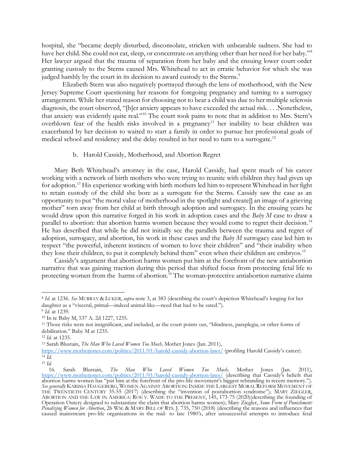hospital, she "became deeply disturbed, disconsolate, stricken with unbearable sadness. She had to have her child. She could not eat, sleep, or concentrate on anything other than her need for her baby."<sup>8</sup> Her lawyer argued that the trauma of separation from her baby and the ensuing lower court order granting custody to the Sterns caused Mrs. Whitehead to act in erratic behavior for which she was judged harshly by the court in its decision to award custody to the Sterns.<sup>9</sup>

Elizabeth Stern was also negatively portrayed through the lens of motherhood, with the New Jersey Supreme Court questioning her reasons for foregoing pregnancy and turning to a surrogacy arrangement. While her stated reason for choosing not to bear a child was due to her multiple sclerosis diagnosis, the court observed, "[h]er anxiety appears to have exceeded the actual risk. . . .Nonetheless, that anxiety was evidently quite real."<sup>10</sup> The court took pains to note that in addition to Mrs. Stern's overblown fear of the health risks involved in a pregnancy<sup>11</sup> her inability to bear children was exacerbated by her decision to waited to start a family in order to pursue her professional goals of medical school and residency and the delay resulted in her need to turn to a surrogate.<sup>12</sup>

#### b. Harold Cassidy, Motherhood, and Abortion Regret

Mary Beth Whitehead's attorney in the case, Harold Cassidy, had spent much of his career working with a network of birth mothers who were trying to reunite with children they had given up for adoption.<sup>13</sup> His experience working with birth mothers led him to represent Whitehead in her fight to retain custody of the child she bore as a surrogate for the Sterns. Cassidy saw the case as an opportunity to put "the moral value of motherhood in the spotlight and create[] an image of a grieving mother" torn away from her child at birth through adoption and surrogacy. In the ensuing years he would draw upon this narrative forged in his work in adoption cases and the *Baby M* case to draw a parallel to abortion: that abortion harms women because they would come to regret their decision.<sup>14</sup> He has described that while he did not initially see the parallels between the trauma and regret of adoption, surrogacy, and abortion, his work in these cases and the *Baby M* surrogacy case led him to respect "the powerful, inherent instincts of women to love their children" and "their inability when they lose their children, to put it completely behind them" even when their children are embryos.<sup>15</sup>

Cassidy's argument that abortion harms women put him at the forefront of the new antiabortion narrative that was gaining traction during this period that shifted focus from protecting fetal life to protecting women from the harms of abortion. <sup>16</sup> The woman-protective antiabortion narrative claims

<sup>8</sup> *Id*. at 1236*. See* MURRAY & LUKER, *supra* note 3, at 383 (describing the court's depiction Whitehead's longing for her daughter as a "visceral, primal—indeed animal-like—need that had to be sated.").

<sup>9</sup> *Id.* at 1239.

<sup>10</sup> In re Baby M, 537 A. 2d 1227, 1235.

<sup>11</sup> Those risks were not insignificant, and included, as the court points out, "blindness, paraplegia, or other forms of debilitation." Baby M at 1235.

<sup>12</sup> *Id.* at 1235.

<sup>13</sup> Sarah Blustain, *The Man Who Loved Women Too Much,* Mother Jones (Jan. 2011),

<https://www.motherjones.com/politics/2011/01/harold-cassidy-abortion-laws/> (profiling Harold Cassidy's career). <sup>14</sup> *Id.*

<sup>15</sup> *Id.*

<sup>16</sup>*.* Sarah Blustain, *The Man Who Loved Women Too Much,* Mother Jones (Jan. 2011), <https://www.motherjones.com/politics/2011/01/harold-cassidy-abortion-laws/> (describing that Cassidy's beliefs that abortion harms women has "put him at the forefront of the pro-life movement's biggest rebranding in recent memory."). *See generally* KARISSA HAUGEBERG, WOMEN AGAINST ABORTION:INSIDE THE LARGEST MORAL REFORM MOVEMENT OF THE TWENTIETH CENTURY 35-55 (2017) (describing the "invention of postabortion syndrome"); MARY ZIEGLER, ABORTION AND THE LAW IN AMERICA: ROE V. WADE TO THE PRESENT, 145, 173-75 (2020)(describing the founding of Operation Outcry designed to substantiate the claim that abortion harms women); Mary Ziegler, *Some Form of Punishment: Penalizing Women for Abortion*, 26 WM. & MARY BILL OF RTS. J. 735, 750 (2018) (describing the reasons and influences that caused mainstream pro-life organizations in the mid- to late 1980's, after unsuccessful attempts to introduce fetal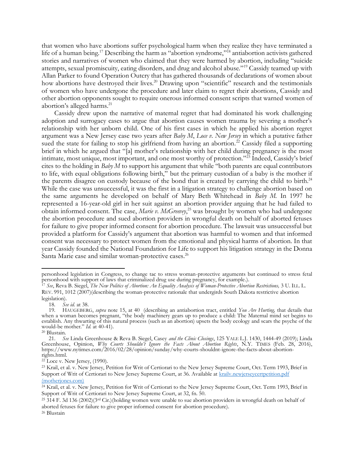that women who have abortions suffer psychological harm when they realize they have terminated a life of a human being.<sup>17</sup> Describing the harm as "abortion syndrome,"<sup>18</sup> antiabortion activists gathered stories and narratives of women who claimed that they were harmed by abortion, including "suicide attempts, sexual promiscuity, eating disorders, and drug and alcohol abuse."<sup>19</sup> Cassidy teamed up with Allan Parker to found Operation Outcry that has gathered thousands of declarations of women about how abortions have destroyed their lives.<sup>20</sup> Drawing upon "scientific" research and the testimonials of women who have undergone the procedure and later claim to regret their abortions, Cassidy and other abortion opponents sought to require onerous informed consent scripts that warned women of abortion's alleged harms.<sup>21</sup>

Cassidy drew upon the narrative of maternal regret that had dominated his work challenging adoption and surrogacy cases to argue that abortion causes women trauma by severing a mother's relationship with her unborn child. One of his first cases in which he applied his abortion regret argument was a New Jersey case two years after *Baby M*, *Loce v. New Jersey* in which a putative father sued the state for failing to stop his girlfriend from having an abortion.<sup>22</sup> Cassidy filed a supporting brief in which he argued that "[a] mother's relationship with her child during pregnancy is the most intimate, most unique, most important, and one most worthy of protection."<sup>23</sup> Indeed, Cassidy's brief cites to the holding in *Baby M* to support his argument that while "both parents are equal contributors to life, with equal obligations following birth," but the primary custodian of a baby is the mother if the parents disagree on custody because of the bond that is created by carrying the child to birth.<sup>24</sup> While the case was unsuccessful, it was the first in a litigation strategy to challenge abortion based on the same arguments he developed on behalf of Mary Beth Whitehead in *Baby M.* In 1997 he represented a 16-year-old girl in her suit against an abortion provider arguing that he had failed to obtain informed consent. The case, *Marie v. McGreevey*, <sup>25</sup> was brought by women who had undergone the abortion procedure and sued abortion providers in wrongful death on behalf of aborted fetuses for failure to give proper informed consent for abortion procedure. The lawsuit was unsuccessful but provided a platform for Cassidy's argument that abortion was harmful to women and that informed consent was necessary to protect women from the emotional and physical harms of abortion. In that year Cassidy founded the National Foundation for Life to support his litigation strategy in the Donna Santa Marie case and similar woman-protective cases.<sup>26</sup>

personhood legislation in Congress, to change tac to stress woman-protective arguments but continued to stress fetal personhood with support of laws that criminalized drug use during pregnancy, for example.).

<sup>17</sup> *See*, Reva B. Siegel, *The New Politics of Abortion: An Equality Analysis of Woman-Protective Abortion Restrictions,* 3 U. ILL. L. REV. 991, 1012 (2007)(describing the woman-protective rationale that undergirds South Dakota restrictive abortion legislation).

<sup>18</sup>*. See id.* at 38.

<sup>19</sup>*.* HAUGEBERG, *supra* note 15, at 40 (describing an antiabortion tract, entitled *You Are Hurting,* that details that when a woman becomes pregnant, "the body machinery gears up to produce a child: The Maternal mind set begins to establish. Any thwarting of this natural process (such as an abortion) upsets the body ecology and scars the psyche of the would-be mother." *Id.* at 40-41).

<sup>20</sup> Blustain.

<sup>21.</sup> *See* Linda Greenhouse & Reva B. Siegel, Casey *and the Clinic Closings*, 125 YALE L.J. 1430, 1444-49 (2019); Linda Greenhouse, Opinion, *Why Courts Shouldn't Ignore the Facts About Abortion Rights*, N.Y. TIMES (Feb. 28, 2016), https://www.nytimes.com/2016/02/28/opinion/sunday/why-courts-shouldnt-ignore-the-facts-about-abortionrights.html.

<sup>&</sup>lt;sup>22</sup> Loce v. New Jersey, (1990).

<sup>23</sup> Krail, et al. v. New Jersey, Petition for Writ of Certiorari to the New Jersey Supreme Court, Oct. Term 1993, Brief in Support of Writ of Certiorari to New Jersey Supreme Court, at 36. Available at krailv.newjerseycertpetition.pdf [\(motherjones.com\)](https://www.motherjones.com/wp-content/uploads/krailv.newjerseycertpetition.pdf)

<sup>24</sup> Krail, et al. v. New Jersey, Petition for Writ of Certiorari to the New Jersey Supreme Court, Oct. Term 1993, Brief in Support of Writ of Certiorari to New Jersey Supreme Court, at 32, fn. 50.

<sup>25</sup> 314 F. 3d 136 (2002)(3rd Cir.)(holding women were unable to sue abortion providers in wrongful death on behalf of aborted fetuses for failure to give proper informed consent for abortion procedure).

<sup>26</sup> Blustain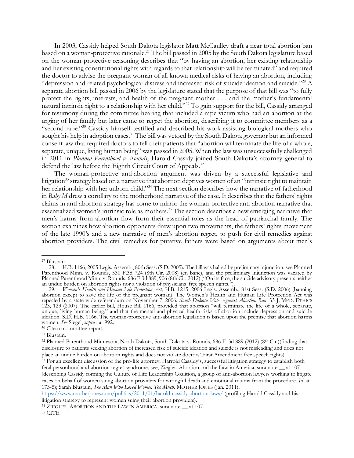In 2003, Cassidy helped South Dakota legislator Matt McCaulley draft a near total abortion ban based on a woman-protective rationale.<sup>27</sup> The bill passed in 2005 by the South Dakota legislature based on the woman-protective reasoning describes that "by having an abortion, her existing relationship and her existing constitutional rights with regards to that relationship will be terminated" and required the doctor to advise the pregnant woman of all known medical risks of having an abortion, including "depression and related psychological distress and increased risk of suicide ideation and suicide."<sup>28</sup> A separate abortion bill passed in 2006 by the legislature stated that the purpose of that bill was "to fully protect the rights, interests, and health of the pregnant mother . . . and the mother's fundamental natural intrinsic right to a relationship with her child."<sup>29</sup> To gain support for the bill, Cassidy arranged for testimony during the committee hearing that included a rape victim who had an abortion at the urging of her family but later came to regret the abortion, describing it to committee members as a "second rape."<sup>30</sup> Cassidy himself testified and described his work assisting biological mothers who sought his help in adoption cases.<sup>31</sup> The bill was vetoed by the South Dakota governor but an informed consent law that required doctors to tell their patients that "abortion will terminate the life of a whole, separate, unique, living human being" was passed in 2005. When the law was unsuccessfully challenged in 2011 in *Planned Parenthood v. Rounds*, Harold Cassidy joined South Dakota's attorney general to defend the law before the Eighth Circuit Court of Appeals.<sup>32</sup>

The woman-protective anti-abortion argument was driven by a successful legislative and litigation<sup>33</sup> strategy based on a narrative that abortion deprives women of an "intrinsic right to maintain her relationship with her unborn child."<sup>34</sup> The next section describes how the narrative of fatherhood in *Baby M* drew a corollary to the motherhood narrative of the case. It describes that the fathers' rights claims in anti-abortion strategy has come to mirror the woman-protective anti-abortion narrative that essentialized women's intrinsic role as mothers.<sup>35</sup> The section describes a new emerging narrative that men's harms from abortion flow from their essential roles as the head of patriarchal family. The section examines how abortion opponents drew upon two movements, the fathers' rights movement of the late 1990's and a new narrative of men's abortion regret, to push for civil remedies against abortion providers. The civil remedies for putative fathers were based on arguments about men's

<sup>&</sup>lt;sup>27</sup> Blustain<br>28.  $\overline{1}$ 

<sup>28.</sup> H.B. 1166, 2005 Legis. Assemb., 80th Sess. (S.D. 2005). The bill was halted by preliminary injunction, see Planned Parenthood Minn. v. Rounds, 530 F.3d 724 (8th Cir. 2008) (en banc), and the preliminary injunction was vacated by Planned Parenthood Minn. v. Rounds, 686 F.3d 889, 906 (8th Cir. 2012) ("On its face, the suicide advisory presents neither an undue burden on abortion rights nor a violation of physicians' free speech rights.").

<sup>29.</sup> *Women's Health and Human Life Protection Act*, H.B. 1215, 2006 Legis. Assemb., 81st Sess. (S.D. 2006) (banning abortion except to save the life of the pregnant woman). The Women's Health and Human Life Protection Act was repealed by a state-wide referendum on November 7, 2006. *South Dakota Vote Against Abortion Ban*, 33 J. MED. ETHICS 123, 123 (2007). The earlier bill, House Bill 1166, provided that abortion "will terminate the life of a whole, separate, unique, living human being," and that the mental and physical health risks of abortion include depression and suicide ideation. S.D. H.B. 1166. The woman-protective anti-abortion legislation is based upon the premise that abortion harms women. *See* Siegel, *supra* , at 992.

<sup>30</sup> Cite to committee report.

<sup>31</sup> Blustain.

<sup>32</sup> Planned Parenthood Minnesota, North Dakota, South Dakota v. Rounds, 686 F. 3d 889 (2012) (8th Cir.)(finding that disclosure to patients seeking abortion of increased risk of suicide ideation and suicide is not misleading and does not place an undue burden on abortion rights and does not violate doctors' First Amendment free speech rights).

<sup>33</sup> For an excellent discussion of the pro-life attorney, Harrold Cassidy's, successful litigation strategy to establish both fetal personhood and abortion regret syndrome, see, Ziegler, Abortion and the Law in America, sura note \_\_ at 107 (describing Cassidy forming the Culture of Life Leadership Coalition, a group of anti-abortion lawyers working to litigate cases on behalf of women suing abortion providers for wrongful death and emotional trauma from the procedure. *Id.* at 173-5); Sarah Blustain, *The Man Who Loved Women Too Much,* MOTHER JONES (Jan. 2011),

<https://www.motherjones.com/politics/2011/01/harold-cassidy-abortion-laws/> (profiling Harold Cassidy and his litigation strategy to represent women suing their abortion providers).

<sup>&</sup>lt;sup>34</sup> ZIEGLER, ABORTION AND THE LAW IN AMERICA, sura note \_\_ at 107.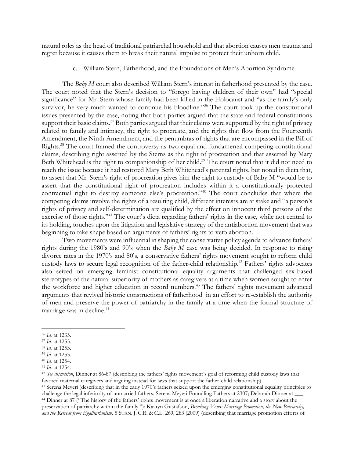natural roles as the head of traditional patriarchal household and that abortion causes men trauma and regret because it causes them to break their natural impulse to protect their unborn child.

c. William Stern, Fatherhood, and the Foundations of Men's Abortion Syndrome

The *Baby M* court also described William Stern's interest in fatherhood presented by the case. The court noted that the Stern's decision to "forego having children of their own" had "special significance" for Mr. Stern whose family had been killed in the Holocaust and "as the family's only survivor, he very much wanted to continue his bloodline."<sup>36</sup> The court took up the constitutional issues presented by the case, noting that both parties argued that the state and federal constitutions support their basic claims.<sup>37</sup> Both parties argued that their claims were supported by the right of privacy related to family and intimacy, the right to procreate, and the rights that flow from the Fourteenth Amendment, the Ninth Amendment, and the penumbras of rights that are encompassed in the Bill of Rights.<sup>38</sup> The court framed the controversy as two equal and fundamental competing constitutional claims, describing right asserted by the Sterns as the right of procreation and that asserted by Mary Beth Whitehead is the right to companionship of her child.<sup>39</sup> The court noted that it did not need to reach the issue because it had restored Mary Beth Whitehead's parental rights, but noted in dicta that, to assert that Mr. Stern's right of procreation gives him the right to custody of Baby M "would be to assert that the constitutional right of procreation includes within it a constitutionally protected contractual right to destroy someone else's procreation."<sup>40</sup> The court concludes that where the competing claims involve the rights of a resulting child, different interests are at stake and "a person's rights of privacy and self-determination are qualified by the effect on innocent third persons of the exercise of those rights."<sup>41</sup> The court's dicta regarding fathers' rights in the case, while not central to its holding, touches upon the litigation and legislative strategy of the antiabortion movement that was beginning to take shape based on arguments of fathers' rights to veto abortion.

Two movements were influential in shaping the conservative policy agenda to advance fathers' rights during the 1980's and 90's when the *Baby M* case was being decided. In response to rising divorce rates in the 1970's and 80's, a conservative fathers' rights movement sought to reform child custody laws to secure legal recognition of the father-child relationship.<sup>42</sup> Fathers' rights advocates also seized on emerging feminist constitutional equality arguments that challenged sex-based stereotypes of the natural superiority of mothers as caregivers at a time when women sought to enter the workforce and higher education in record numbers.<sup>43</sup> The fathers' rights movement advanced arguments that revived historic constructions of fatherhood in an effort to re-establish the authority of men and preserve the power of patriarchy in the family at a time when the formal structure of marriage was in decline.<sup>44</sup>

<sup>42</sup> *See discussion*, Dinner at 86-87 (describing the fathers' rights movement's goal of reforming child custody laws that favored maternal caregivers and arguing instead for laws that support the father-child relationship)

<sup>43</sup> Serena Meyeri (describing that in the early 1970's fathers seized upon the emerging constitutional equality principles to challenge the legal inferiority of unmarried fathers. Serena Meyeri Foundling Fathers at 2307; Deborah Dinner at \_\_\_

<sup>44</sup> Dinner at 87 ("The history of the fathers' rights movement is at once a liberation narrative and a story about the preservation of patriarchy within the family."); Kaaryn Gustafson, *Breaking Vows: Marriage Promotion, the New Patriarchy, and the Retreat from Egalitarianism,* 5 STAN. J. C.R. & C.L. 269, 283 (2009) (describing that marriage promotion efforts of

<sup>36</sup> *Id.* at 1235.

<sup>37</sup> *Id.* at 1253.

<sup>38</sup> *Id.* at 1253. <sup>39</sup> *Id.* at 1253.

<sup>40</sup> *Id.* at 1254.

<sup>41</sup> *Id.* at 1254.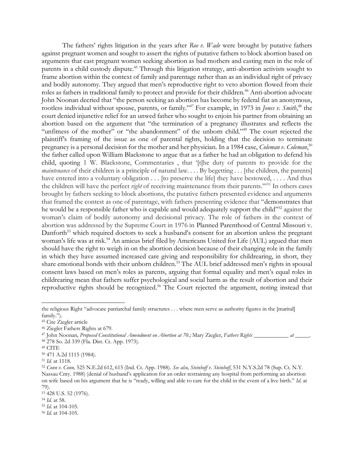The fathers' rights litigation in the years after *Roe v. Wade* were brought by putative fathers against pregnant women and sought to assert the rights of putative fathers to block abortion based on arguments that cast pregnant women seeking abortion as bad mothers and casting men in the role of parents in a child custody dispute.<sup>45</sup> Through this litigation strategy, anti-abortion activists sought to frame abortion within the context of family and parentage rather than as an individual right of privacy and bodily autonomy. They argued that men's reproductive right to veto abortion flowed from their roles as fathers in traditional family to protect and provide for their children.<sup>46</sup> Anti-abortion advocate John Noonan decried that "the person seeking an abortion has become by federal fiat an anonymous, rootless individual without spouse, parents, or family."<sup>47</sup> For example, in 1973 in *Jones v. Smith*, <sup>48</sup> the court denied injunctive relief for an unwed father who sought to enjoin his partner from obtaining an abortion based on the argument that "the termination of a pregnancy illustrates and reflects the "unfitness of the mother" or "the abandonment" of the unborn child."<sup>49</sup> The court rejected the plaintiff's framing of the issue as one of parental rights, holding that the decision to terminate pregnancy is a personal decision for the mother and her physician. In a 1984 case, *Coleman v. Coleman*, 50 the father called upon William Blackstone to argue that as a father he had an obligation to defend his child, quoting 1 W. Blackstone, Commentaries , that '[t]he duty of parents to provide for the *maintenance* of their children is a principle of natural law. . . . By begetting . . . [the children, the parents] have entered into a voluntary obligation . . . [to preserve the life] they have bestowed, . . . . And thus the children will have the perfect *right* of receiving maintenance from their parents.'"<sup>51</sup> In others cases brought by fathers seeking to block abortions, the putative fathers presented evidence and arguments that framed the contest as one of parentage, with fathers presenting evidence that "demonstrates that he would be a responsible father who is capable and would adequately support the child"<sup>52</sup> against the woman's claim of bodily autonomy and decisional privacy. The role of fathers in the context of abortion was addressed by the Supreme Court in 1976 in Planned Parenthood of Central Missouri v. Danforth<sup>53</sup> which required doctors to seek a husband's consent for an abortion unless the pregnant woman's life was at risk.<sup>54</sup> An amicus brief filed by Americans United for Life (AUL) argued that men should have the right to weigh in on the abortion decision because of their changing role in the family in which they have assumed increased care giving and responsibility for childrearing, in short, they share emotional bonds with their unborn children.<sup>55</sup> The AUL brief addressed men's rights in spousal consent laws based on men's roles as parents, arguing that formal equality and men's equal roles in childrearing mean that fathers suffer psychological and social harm as the result of abortion and their reproductive rights should be recognized.<sup>56</sup> The Court rejected the argument, noting instead that

<sup>55</sup> *Id*. at 104-105.

the religious Right "advocate patriarchal family structures . . . where men serve as authority figures in the [marital] family.").

<sup>45</sup> Cite Ziegler article

<sup>46</sup> Ziegler Fathers Rights at 679.

<sup>47</sup> John Noonan, *Proposed Constitutional Amendment on Abortion at 70.;* Mary Ziegler, *Fathers Rights \_\_\_\_\_\_\_\_\_\_\_\_ at \_\_\_\_\_.*

<sup>48</sup> 278 So. 2d 339 (Fla. Dist. Ct. App. 1973).

<sup>49</sup> CITE

<sup>50</sup> 471 A.2d 1115 (1984).

<sup>51</sup> *Id.* at 1118.

<sup>52</sup> *Conn v. Conn,* 525 N.E.2d 612, 615 (Ind. Ct. App. 1988). *See also, Steinhoff v. Steinhoff*, 531 N.Y.S.2d 78 (Sup. Ct. N.Y. Nassau Cnty. 1988) (denial of husband's application for an order restraining any hospital from performing an abortion on wife based on his argument that he is "ready, willing and able to care for the child in the event of a live birth." *Id.* at 79).

<sup>53</sup> 428 U.S. 52 (1976).

<sup>54</sup> *Id.* at 58.

<sup>56</sup> *Id*. at 104-105.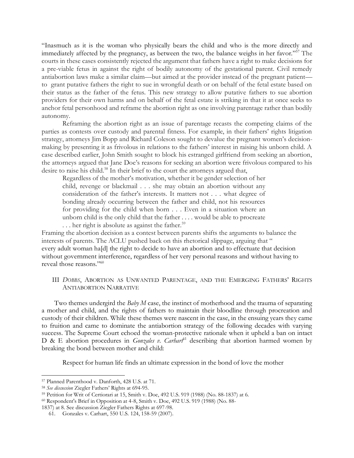"Inasmuch as it is the woman who physically bears the child and who is the more directly and immediately affected by the pregnancy, as between the two, the balance weighs in her favor."<sup>57</sup> The courts in these cases consistently rejected the argument that fathers have a right to make decisions for a pre-viable fetus in against the right of bodily autonomy of the gestational parent. Civil remedy antiabortion laws make a similar claim—but aimed at the provider instead of the pregnant patient to grant putative fathers the right to sue in wrongful death or on behalf of the fetal estate based on their status as the father of the fetus. This new strategy to allow putative fathers to sue abortion providers for their own harms and on behalf of the fetal estate is striking in that it at once seeks to anchor fetal personhood and reframe the abortion right as one involving parentage rather than bodily autonomy.

Reframing the abortion right as an issue of parentage recasts the competing claims of the parties as contests over custody and parental fitness. For example, in their fathers' rights litigation strategy, attorneys Jim Bopp and Richard Coleson sought to devalue the pregnant women's decisionmaking by presenting it as frivolous in relations to the fathers' interest in raising his unborn child. A case described earlier, John Smith sought to block his estranged girlfriend from seeking an abortion, the attorneys argued that Jane Doe's reasons for seeking an abortion were frivolous compared to his desire to raise his child.<sup>58</sup> In their brief to the court the attorneys argued that,

Regardless of the mother's motivation, whether it be gender selection of her child, revenge or blackmail . . . she may obtain an abortion without any consideration of the father's interests. It matters not . . . what degree of bonding already occurring between the father and child, not his resources for providing for the child when born . . . Even in a situation where an unborn child is the only child that the father . . . . would be able to procreate  $\ldots$  her right is absolute as against the father.<sup>59</sup>

Framing the abortion decision as a contest between parents shifts the arguments to balance the interests of parents. The ACLU pushed back on this rhetorical slippage, arguing that " every adult woman ha[d] the right to decide to have an abortion and to effectuate that decision without government interference, regardless of her very personal reasons and without having to reveal those reasons." 60

III *DOBBS*, ABORTION AS UNWANTED PARENTAGE, AND THE EMERGING FATHERS' RIGHTS ANTIABORTION NARRATIVE

Two themes undergird the *Baby M* case, the instinct of motherhood and the trauma of separating a mother and child, and the rights of fathers to maintain their bloodline through procreation and custody of their children. While these themes were nascent in the case, in the ensuing years they came to fruition and came to dominate the antiabortion strategy of the following decades with varying success. The Supreme Court echoed the woman-protective rationale when it upheld a ban on intact D & E abortion procedures in *Gonzales v. Carhart*<sup>61</sup> describing that abortion harmed women by breaking the bond between mother and child:

Respect for human life finds an ultimate expression in the bond of love the mother

<sup>57</sup> Planned Parenthood v. Danforth, 428 U.S. at 71.

<sup>58</sup> *See discussion* Ziegler Fathers' Rights at 694-95.

<sup>59</sup> Petition for Writ of Certiorari at 15, Smith v. Doe, 492 U.S. 919 (1988) (No. 88-1837) at 6.

<sup>60</sup> Respondent's Brief in Opposition at 4-8, Smith v. Doe, 492 U.S. 919 (1988) (No. 88-

<sup>1837)</sup> at 8. See discussion Ziegler Fathers Rights at 697-98.

<sup>61.</sup> Gonzales v. Carhart, 550 U.S*.* 124, 158-59 (2007).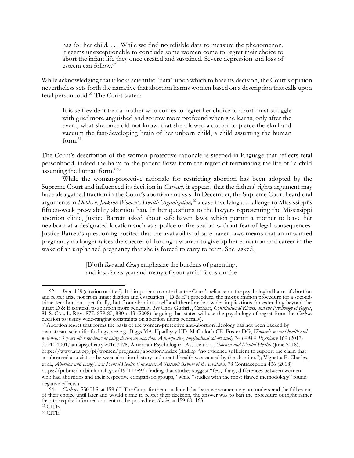has for her child. . . . While we find no reliable data to measure the phenomenon, it seems unexceptionable to conclude some women come to regret their choice to abort the infant life they once created and sustained. Severe depression and loss of esteem can follow.<sup>62</sup>

While acknowledging that it lacks scientific "data" upon which to base its decision, the Court's opinion nevertheless sets forth the narrative that abortion harms women based on a description that calls upon fetal personhood.<sup>63</sup> The Court stated:

It is self-evident that a mother who comes to regret her choice to abort must struggle with grief more anguished and sorrow more profound when she learns, only after the event, what she once did not know: that she allowed a doctor to pierce the skull and vacuum the fast-developing brain of her unborn child, a child assuming the human form.<sup>64</sup>

The Court's description of the woman-protective rationale is steeped in language that reflects fetal personhood, indeed the harm to the patient flows from the regret of terminating the life of "a child assuming the human form."<sup>65</sup>

While the woman-protective rationale for restricting abortion has been adopted by the Supreme Court and influenced its decision in *Carhart,* it appears that the fathers' rights argument may have also gained traction in the Court's abortion analysis. In December, the Supreme Court heard oral arguments in *Dobbs v. Jackson Women's Health Organization,<sup>66</sup>* a case involving a challenge to Mississippi's fifteen-week pre-viability abortion ban. In her questions to the lawyers representing the Mississippi abortion clinic, Justice Barrett asked about safe haven laws, which permit a mother to leave her newborn at a designated location such as a police or fire station without fear of legal consequences. Justice Barrett's questioning posited that the availability of safe haven laws means that an unwanted pregnancy no longer raises the specter of forcing a woman to give up her education and career in the wake of an unplanned pregnancy that she is forced to carry to term. She asked,

> [B]oth *Roe* and *Casey* emphasize the burdens of parenting, and insofar as you and many of your amici focus on the

 $^{65}\rm \,CITE$ 

<sup>66</sup> CITE

<sup>62.</sup> *Id.* at 159 (citation omitted). It is important to note that the Court's reliance on the psychological harm of abortion and regret arise not from intact dilation and evacuation ("D & E") procedure, the most common procedure for a secondtrimester abortion, specifically, but from abortion itself and therefore has wider implications for extending beyond the intact D & E context, to abortion more generally. *See* Chris Guthrie, Carhart, *Constitutional Rights, and the Psychology of Regret*, 81 S. CAL. L. REV. 877, 879-80, 880 n.13 (2008) (arguing that states will use the psychology of regret from the *Carhart* decision to justify wide-ranging constraints on abortion rights generally).

<sup>&</sup>lt;sup>63</sup> Abortion regret that forms the basis of the women-protective anti-abortion ideology has not been backed by mainstream scientific findings, see e.g., Biggs MA, Upadhyay UD, McCulloch CE, Foster DG, *Women's mental health and well-being 5 years after receiving or being denied an abortion. A prospective, longitudinal cohort study* 74 *JAMA Psychiatry* 169 (2017) doi:10.1001/jamapsychiatry.2016.3478; American Psychological Association, *Abortion and Mental Health* (June 2018), https://www.apa.org/pi/women/programs/abortion/index (finding "no evidence sufficient to support the claim that an observed association between abortion history and mental health was caused by the abortion."); Vignetta E. Charles, et al., *Abortion and Long-Term Mental Health Outcomes: A Systemic Review of the Evidence,* 78 Contraception 436 (2008) https://pubmed.ncbi.nlm.nih.gov/19014789/ (finding that studies suggest "few, if any, differences between women who had abortions and their respective comparison groups," while "studies with the most flawed methodology" found negative effects.)

<sup>64</sup>*. Carhart*, 550 U.S*.* at 159-60. The Court further concluded that because women may not understand the full extent of their choice until later and would come to regret their decision, the answer was to ban the procedure outright rather than to require informed consent to the procedure. *See id.* at 159-60, 163.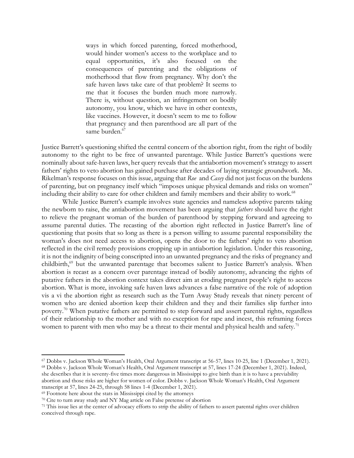ways in which forced parenting, forced motherhood, would hinder women's access to the workplace and to equal opportunities, it's also focused on the consequences of parenting and the obligations of motherhood that flow from pregnancy. Why don't the safe haven laws take care of that problem? It seems to me that it focuses the burden much more narrowly. There is, without question, an infringement on bodily autonomy, you know, which we have in other contexts, like vaccines. However, it doesn't seem to me to follow that pregnancy and then parenthood are all part of the same burden.<sup>67</sup>

Justice Barrett's questioning shifted the central concern of the abortion right, from the right of bodily autonomy to the right to be free of unwanted parentage. While Justice Barrett's questions were nominally about safe-haven laws, her query reveals that the antiabortion movement's strategy to assert fathers' rights to veto abortion has gained purchase after decades of laying strategic groundwork. Ms. Rikelman's response focuses on this issue, arguing that *Roe* and *Casey* did not just focus on the burdens of parenting, but on pregnancy itself which "imposes unique physical demands and risks on women" including their ability to care for other children and family members and their ability to work.<sup>68</sup>

While Justice Barrett's example involves state agencies and nameless adoptive parents taking the newborn to raise, the antiabortion movement has been arguing that *fathers* should have the right to relieve the pregnant woman of the burden of parenthood by stepping forward and agreeing to assume parental duties. The recasting of the abortion right reflected in Justice Barrett's line of questioning that posits that so long as there is a person willing to assume parental responsibility the woman's does not need access to abortion, opens the door to the fathers' right to veto abortion reflected in the civil remedy provisions cropping up in antiabortion legislation. Under this reasoning, it is not the indignity of being conscripted into an unwanted pregnancy and the risks of pregnancy and childbirth,<sup>69</sup> but the unwanted parentage that becomes salient to Justice Barrett's analysis. When abortion is recast as a concern over parentage instead of bodily autonomy, advancing the rights of putative fathers in the abortion context takes direct aim at eroding pregnant people's right to access abortion. What is more, invoking safe haven laws advances a false narrative of the role of adoption vis a vi the abortion right as research such as the Turn Away Study reveals that ninety percent of women who are denied abortion keep their children and they and their families slip further into poverty.<sup>70</sup> When putative fathers are permitted to step forward and assert parental rights, regardless of their relationship to the mother and with no exception for rape and incest, this reframing forces women to parent with men who may be a threat to their mental and physical health and safety.<sup>71</sup>

<sup>67</sup> Dobbs v. Jackson Whole Woman's Health, Oral Argument transcript at 56-57, lines 10-25, line 1 (December 1, 2021). <sup>68</sup> Dobbs v. Jackson Whole Woman's Health, Oral Argument transcript at 57, lines 17-24 (December 1, 2021). Indeed, she describes that it is seventy-five times more dangerous in Mississippi to give birth than it is to have a previability abortion and those risks are higher for women of color. Dobbs v. Jackson Whole Woman's Health, Oral Argument transcript at 57, lines 24-25, through 58 lines 1-4 (December 1, 2021).

<sup>69</sup> Footnote here about the stats in Mississippi cited by the attorneys

<sup>70</sup> Cite to turn away study and NY Mag article on False pretense of abortion

<sup>71</sup> This issue lies at the center of advocacy efforts to strip the ability of fathers to assert parental rights over children conceived through rape.